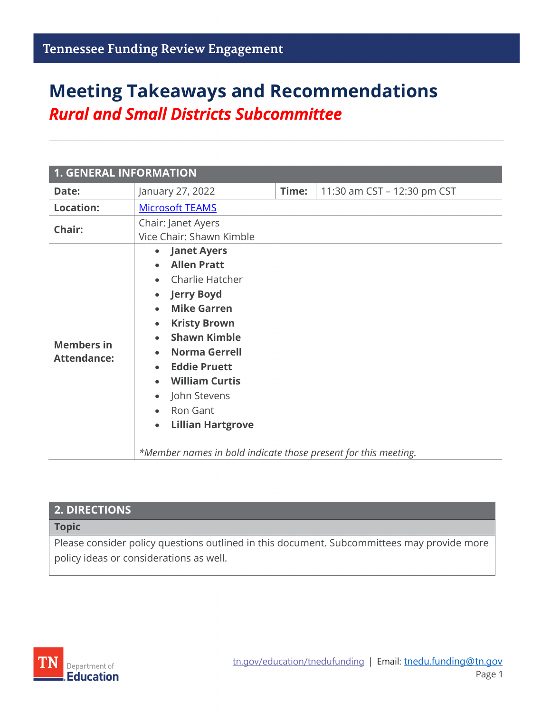# **Meeting Takeaways and Recommendations** *Rural and Small Districts Subcommittee*

| <b>1. GENERAL INFORMATION</b>           |                                                                                                                                                                                                                                                                                                                                                                                                                                                   |       |                             |  |
|-----------------------------------------|---------------------------------------------------------------------------------------------------------------------------------------------------------------------------------------------------------------------------------------------------------------------------------------------------------------------------------------------------------------------------------------------------------------------------------------------------|-------|-----------------------------|--|
| Date:                                   | January 27, 2022                                                                                                                                                                                                                                                                                                                                                                                                                                  | Time: | 11:30 am CST - 12:30 pm CST |  |
| <b>Location:</b>                        | <b>Microsoft TEAMS</b>                                                                                                                                                                                                                                                                                                                                                                                                                            |       |                             |  |
| Chair:                                  | Chair: Janet Ayers<br>Vice Chair: Shawn Kimble                                                                                                                                                                                                                                                                                                                                                                                                    |       |                             |  |
| <b>Members in</b><br><b>Attendance:</b> | <b>Janet Ayers</b><br>$\bullet$<br><b>Allen Pratt</b><br>Charlie Hatcher<br><b>Jerry Boyd</b><br>$\bullet$<br><b>Mike Garren</b><br>$\bullet$<br><b>Kristy Brown</b><br>$\bullet$<br><b>Shawn Kimble</b><br><b>Norma Gerrell</b><br><b>Eddie Pruett</b><br><b>William Curtis</b><br>John Stevens<br>$\bullet$<br>Ron Gant<br>$\bullet$<br><b>Lillian Hartgrove</b><br>$\bullet$<br>*Member names in bold indicate those present for this meeting. |       |                             |  |

| <b>2. DIRECTIONS</b>                                                                       |
|--------------------------------------------------------------------------------------------|
| Topic                                                                                      |
| Please consider policy questions outlined in this document. Subcommittees may provide more |
| policy ideas or considerations as well.                                                    |

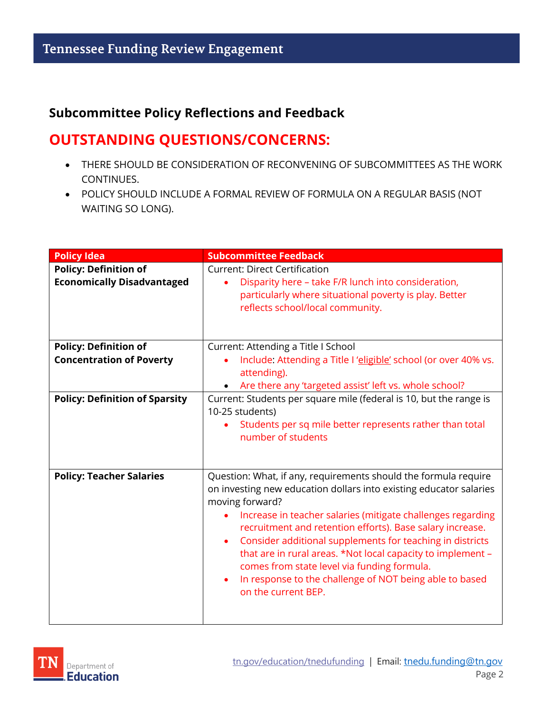#### **Subcommittee Policy Reflections and Feedback**

#### **OUTSTANDING QUESTIONS/CONCERNS:**

- THERE SHOULD BE CONSIDERATION OF RECONVENING OF SUBCOMMITTEES AS THE WORK CONTINUES.
- POLICY SHOULD INCLUDE A FORMAL REVIEW OF FORMULA ON A REGULAR BASIS (NOT WAITING SO LONG).

| <b>Policy Idea</b>                                                | <b>Subcommittee Feedback</b>                                                                                                                                                                                                                                                                                                                                                                                                                                                                                                                           |  |
|-------------------------------------------------------------------|--------------------------------------------------------------------------------------------------------------------------------------------------------------------------------------------------------------------------------------------------------------------------------------------------------------------------------------------------------------------------------------------------------------------------------------------------------------------------------------------------------------------------------------------------------|--|
| <b>Policy: Definition of</b><br><b>Economically Disadvantaged</b> | <b>Current: Direct Certification</b><br>Disparity here - take F/R lunch into consideration,<br>particularly where situational poverty is play. Better<br>reflects school/local community.                                                                                                                                                                                                                                                                                                                                                              |  |
| <b>Policy: Definition of</b><br><b>Concentration of Poverty</b>   | Current: Attending a Title I School<br>Include: Attending a Title I 'eligible' school (or over 40% vs.<br>attending).<br>Are there any 'targeted assist' left vs. whole school?                                                                                                                                                                                                                                                                                                                                                                        |  |
| <b>Policy: Definition of Sparsity</b>                             | Current: Students per square mile (federal is 10, but the range is<br>10-25 students)<br>Students per sq mile better represents rather than total<br>number of students                                                                                                                                                                                                                                                                                                                                                                                |  |
| <b>Policy: Teacher Salaries</b>                                   | Question: What, if any, requirements should the formula require<br>on investing new education dollars into existing educator salaries<br>moving forward?<br>Increase in teacher salaries (mitigate challenges regarding<br>recruitment and retention efforts). Base salary increase.<br>Consider additional supplements for teaching in districts<br>٠<br>that are in rural areas. *Not local capacity to implement -<br>comes from state level via funding formula.<br>In response to the challenge of NOT being able to based<br>on the current BEP. |  |

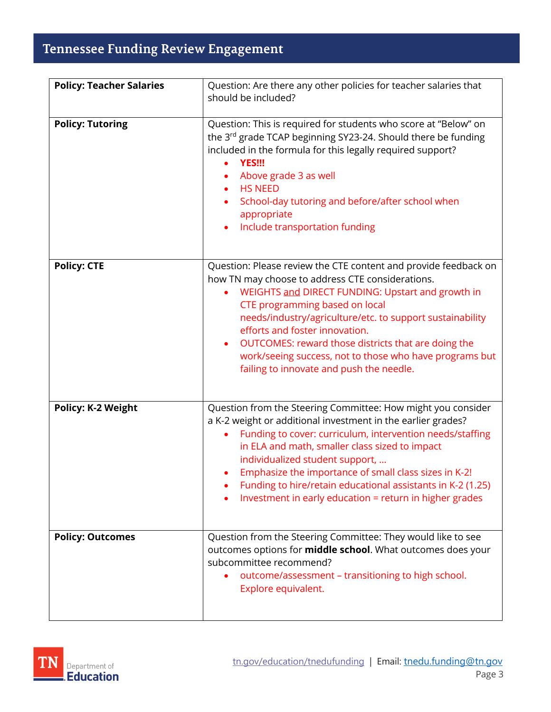## Tennessee Funding Review Engagement

| <b>Policy: Teacher Salaries</b> | Question: Are there any other policies for teacher salaries that                                                                                                                                                                                                                                                                                                                                                                                                                     |
|---------------------------------|--------------------------------------------------------------------------------------------------------------------------------------------------------------------------------------------------------------------------------------------------------------------------------------------------------------------------------------------------------------------------------------------------------------------------------------------------------------------------------------|
|                                 | should be included?                                                                                                                                                                                                                                                                                                                                                                                                                                                                  |
| <b>Policy: Tutoring</b>         | Question: This is required for students who score at "Below" on<br>the 3rd grade TCAP beginning SY23-24. Should there be funding<br>included in the formula for this legally required support?<br><b>YES!!!</b><br>Above grade 3 as well<br><b>HS NEED</b><br>$\bullet$<br>School-day tutoring and before/after school when<br>appropriate<br>Include transportation funding                                                                                                         |
| <b>Policy: CTE</b>              | Question: Please review the CTE content and provide feedback on<br>how TN may choose to address CTE considerations.<br>WEIGHTS and DIRECT FUNDING: Upstart and growth in<br>$\bullet$<br>CTE programming based on local<br>needs/industry/agriculture/etc. to support sustainability<br>efforts and foster innovation.<br>OUTCOMES: reward those districts that are doing the<br>work/seeing success, not to those who have programs but<br>failing to innovate and push the needle. |
| <b>Policy: K-2 Weight</b>       | Question from the Steering Committee: How might you consider<br>a K-2 weight or additional investment in the earlier grades?<br>Funding to cover: curriculum, intervention needs/staffing<br>in ELA and math, smaller class sized to impact<br>individualized student support,<br>Emphasize the importance of small class sizes in K-2!<br>Funding to hire/retain educational assistants in K-2 (1.25)<br>Investment in early education = return in higher grades                    |
| <b>Policy: Outcomes</b>         | Question from the Steering Committee: They would like to see<br>outcomes options for <b>middle school</b> . What outcomes does your<br>subcommittee recommend?<br>outcome/assessment - transitioning to high school.<br>Explore equivalent.                                                                                                                                                                                                                                          |

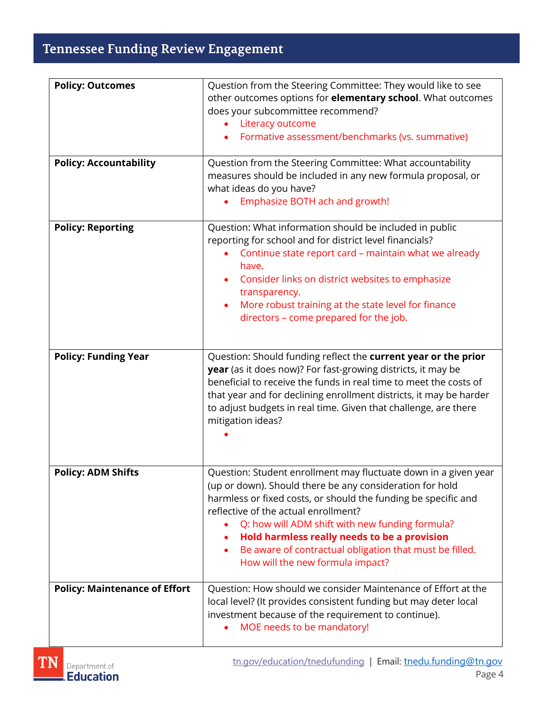## Tennessee Funding Review Engagement

| <b>Policy: Outcomes</b>              | Question from the Steering Committee: They would like to see                                                                                                                                                                                                                                                                                                                                                                            |
|--------------------------------------|-----------------------------------------------------------------------------------------------------------------------------------------------------------------------------------------------------------------------------------------------------------------------------------------------------------------------------------------------------------------------------------------------------------------------------------------|
|                                      | other outcomes options for <b>elementary school</b> . What outcomes                                                                                                                                                                                                                                                                                                                                                                     |
|                                      | does your subcommittee recommend?                                                                                                                                                                                                                                                                                                                                                                                                       |
|                                      | Literacy outcome<br>٠                                                                                                                                                                                                                                                                                                                                                                                                                   |
|                                      | Formative assessment/benchmarks (vs. summative)                                                                                                                                                                                                                                                                                                                                                                                         |
| <b>Policy: Accountability</b>        | Question from the Steering Committee: What accountability<br>measures should be included in any new formula proposal, or<br>what ideas do you have?<br>Emphasize BOTH ach and growth!                                                                                                                                                                                                                                                   |
|                                      |                                                                                                                                                                                                                                                                                                                                                                                                                                         |
| <b>Policy: Reporting</b>             | Question: What information should be included in public<br>reporting for school and for district level financials?                                                                                                                                                                                                                                                                                                                      |
|                                      | Continue state report card - maintain what we already<br>have.                                                                                                                                                                                                                                                                                                                                                                          |
|                                      | Consider links on district websites to emphasize<br>transparency.                                                                                                                                                                                                                                                                                                                                                                       |
|                                      | More robust training at the state level for finance                                                                                                                                                                                                                                                                                                                                                                                     |
|                                      | directors - come prepared for the job.                                                                                                                                                                                                                                                                                                                                                                                                  |
|                                      |                                                                                                                                                                                                                                                                                                                                                                                                                                         |
|                                      |                                                                                                                                                                                                                                                                                                                                                                                                                                         |
| <b>Policy: Funding Year</b>          | Question: Should funding reflect the current year or the prior<br>year (as it does now)? For fast-growing districts, it may be<br>beneficial to receive the funds in real time to meet the costs of<br>that year and for declining enrollment districts, it may be harder<br>to adjust budgets in real time. Given that challenge, are there<br>mitigation ideas?                                                                       |
|                                      |                                                                                                                                                                                                                                                                                                                                                                                                                                         |
| <b>Policy: ADM Shifts</b>            | Question: Student enrollment may fluctuate down in a given year<br>(up or down). Should there be any consideration for hold<br>harmless or fixed costs, or should the funding be specific and<br>reflective of the actual enrollment?<br>Q: how will ADM shift with new funding formula?<br>Hold harmless really needs to be a provision<br>Be aware of contractual obligation that must be filled.<br>How will the new formula impact? |
| <b>Policy: Maintenance of Effort</b> | Question: How should we consider Maintenance of Effort at the<br>local level? (It provides consistent funding but may deter local<br>investment because of the requirement to continue).<br>MOE needs to be mandatory!                                                                                                                                                                                                                  |